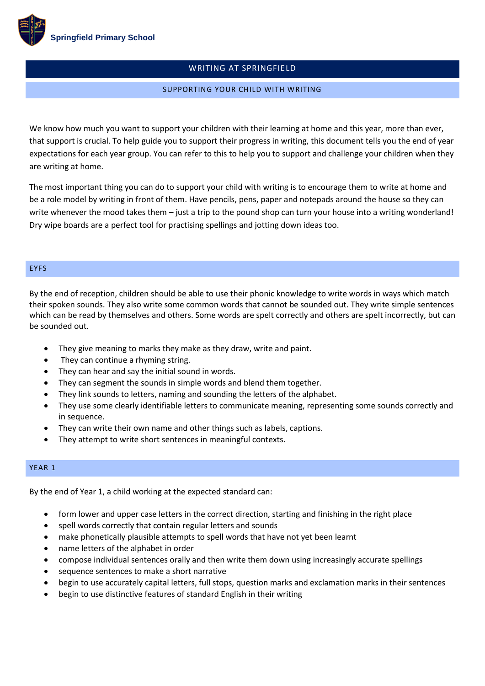

# WRITING AT SPRINGFIELD

### SUPPORTING YOUR CHILD WITH WRITING

We know how much you want to support your children with their learning at home and this year, more than ever, that support is crucial. To help guide you to support their progress in writing, this document tells you the end of year expectations for each year group. You can refer to this to help you to support and challenge your children when they are writing at home.

The most important thing you can do to support your child with writing is to encourage them to write at home and be a role model by writing in front of them. Have pencils, pens, paper and notepads around the house so they can write whenever the mood takes them – just a trip to the pound shop can turn your house into a writing wonderland! Dry wipe boards are a perfect tool for practising spellings and jotting down ideas too.

#### EYFS

By the end of reception, children should be able to use their phonic knowledge to write words in ways which match their spoken sounds. They also write some common words that cannot be sounded out. They write simple sentences which can be read by themselves and others. Some words are spelt correctly and others are spelt incorrectly, but can be sounded out.

- They give meaning to marks they make as they draw, write and paint.
- They can continue a rhyming string.
- They can hear and say the initial sound in words.
- They can segment the sounds in simple words and blend them together.
- They link sounds to letters, naming and sounding the letters of the alphabet.
- They use some clearly identifiable letters to communicate meaning, representing some sounds correctly and in sequence.
- They can write their own name and other things such as labels, captions.
- They attempt to write short sentences in meaningful contexts.

## YEAR 1

By the end of Year 1, a child working at the expected standard can:

- form lower and upper case letters in the correct direction, starting and finishing in the right place
- spell words correctly that contain regular letters and sounds
- make phonetically plausible attempts to spell words that have not yet been learnt
- name letters of the alphabet in order
- compose individual sentences orally and then write them down using increasingly accurate spellings
- sequence sentences to make a short narrative
- begin to use accurately capital letters, full stops, question marks and exclamation marks in their sentences
- begin to use distinctive features of standard English in their writing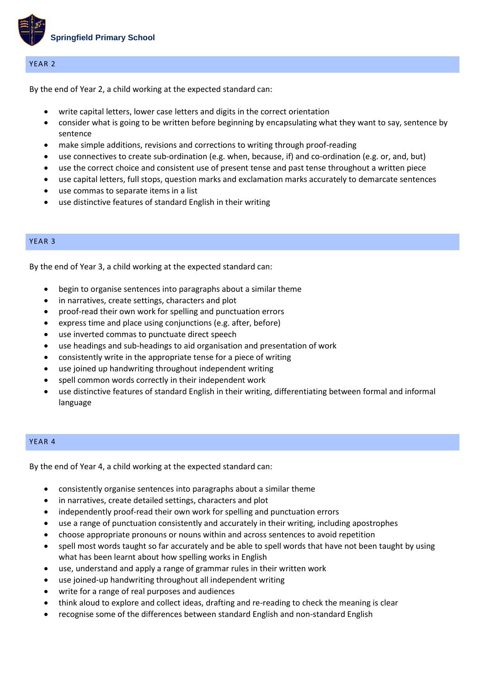

### YEAR 2

By the end of Year 2, a child working at the expected standard can:

- write capital letters, lower case letters and digits in the correct orientation
- consider what is going to be written before beginning by encapsulating what they want to say, sentence by sentence
- make simple additions, revisions and corrections to writing through proof-reading
- use connectives to create sub-ordination (e.g. when, because, if) and co-ordination (e.g. or, and, but)
- use the correct choice and consistent use of present tense and past tense throughout a written piece
- use capital letters, full stops, question marks and exclamation marks accurately to demarcate sentences
- use commas to separate items in a list
- use distinctive features of standard English in their writing

### YEAR 3

By the end of Year 3, a child working at the expected standard can:

- begin to organise sentences into paragraphs about a similar theme
- in narratives, create settings, characters and plot
- proof-read their own work for spelling and punctuation errors
- express time and place using conjunctions (e.g. after, before)
- use inverted commas to punctuate direct speech
- use headings and sub-headings to aid organisation and presentation of work
- consistently write in the appropriate tense for a piece of writing
- use joined up handwriting throughout independent writing
- spell common words correctly in their independent work
- use distinctive features of standard English in their writing, differentiating between formal and informal language

### YEAR 4

By the end of Year 4, a child working at the expected standard can:

- consistently organise sentences into paragraphs about a similar theme
- in narratives, create detailed settings, characters and plot
- independently proof-read their own work for spelling and punctuation errors
- use a range of punctuation consistently and accurately in their writing, including apostrophes
- choose appropriate pronouns or nouns within and across sentences to avoid repetition
- spell most words taught so far accurately and be able to spell words that have not been taught by using what has been learnt about how spelling works in English
- use, understand and apply a range of grammar rules in their written work
- use joined-up handwriting throughout all independent writing
- write for a range of real purposes and audiences
- think aloud to explore and collect ideas, drafting and re-reading to check the meaning is clear
- recognise some of the differences between standard English and non-standard English